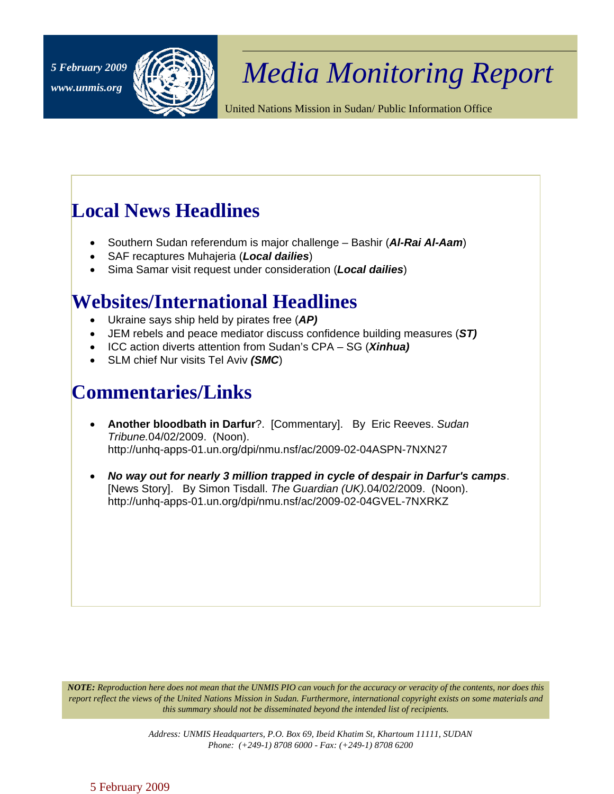

## *Media Monitoring Report 5 February 2009*

United Nations Mission in Sudan/ Public Information Office

## **Local News Headlines**

- Southern Sudan referendum is major challenge Bashir (*Al-Rai Al-Aam*)
- SAF recaptures Muhajeria (*Local dailies*)
- Sima Samar visit request under consideration (*Local dailies*)

## **Websites/International Headlines**

- Ukraine says ship held by pirates free (*AP)*
- JEM rebels and peace mediator discuss confidence building measures (*ST)*
- ICC action diverts attention from Sudan's CPA SG (*Xinhua)*
- SLM chief Nur visits Tel Aviv *(SMC*)

## **Commentaries/Links**

- **Another bloodbath in Darfur**?. [Commentary]. By Eric Reeves. *Sudan Tribune.*04/02/2009. (Noon). http://unhq-apps-01.un.org/dpi/nmu.nsf/ac/2009-02-04ASPN-7NXN27
- *No way out for nearly 3 million trapped in cycle of despair in Darfur's camps*. [News Story]. By Simon Tisdall. *The Guardian (UK).*04/02/2009. (Noon). http://unhq-apps-01.un.org/dpi/nmu.nsf/ac/2009-02-04GVEL-7NXRKZ

*NOTE: Reproduction here does not mean that the UNMIS PIO can vouch for the accuracy or veracity of the contents, nor does this report reflect the views of the United Nations Mission in Sudan. Furthermore, international copyright exists on some materials and this summary should not be disseminated beyond the intended list of recipients.* 

> *Address: UNMIS Headquarters, P.O. Box 69, Ibeid Khatim St, Khartoum 11111, SUDAN Phone: (+249-1) 8708 6000 - Fax: (+249-1) 8708 6200*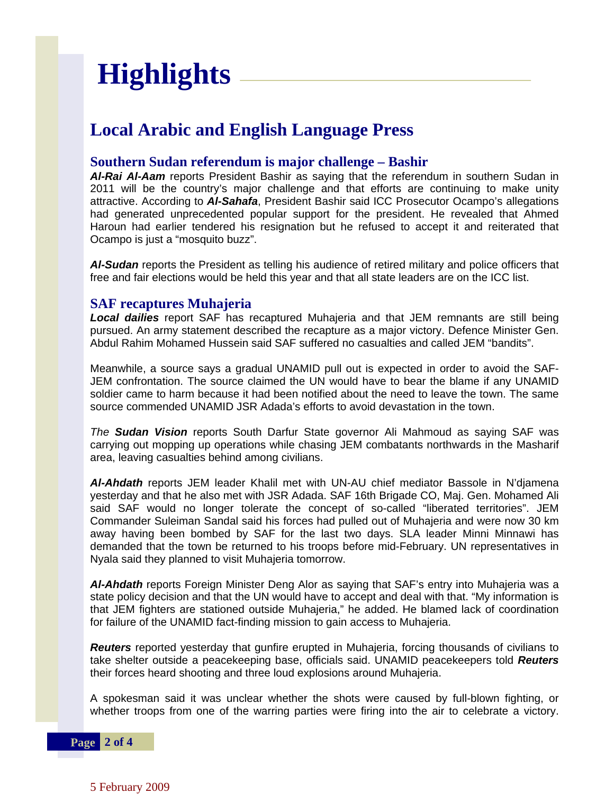# **Highlights**

### **Local Arabic and English Language Press**

#### **Southern Sudan referendum is major challenge – Bashir**

*Al-Rai Al-Aam* reports President Bashir as saying that the referendum in southern Sudan in 2011 will be the country's major challenge and that efforts are continuing to make unity attractive. According to *Al-Sahafa*, President Bashir said ICC Prosecutor Ocampo's allegations had generated unprecedented popular support for the president. He revealed that Ahmed Haroun had earlier tendered his resignation but he refused to accept it and reiterated that Ocampo is just a "mosquito buzz".

*Al-Sudan* reports the President as telling his audience of retired military and police officers that free and fair elections would be held this year and that all state leaders are on the ICC list.

#### **SAF recaptures Muhajeria**

*Local dailies* report SAF has recaptured Muhajeria and that JEM remnants are still being pursued. An army statement described the recapture as a major victory. Defence Minister Gen. Abdul Rahim Mohamed Hussein said SAF suffered no casualties and called JEM "bandits".

Meanwhile, a source says a gradual UNAMID pull out is expected in order to avoid the SAF-JEM confrontation. The source claimed the UN would have to bear the blame if any UNAMID soldier came to harm because it had been notified about the need to leave the town. The same source commended UNAMID JSR Adada's efforts to avoid devastation in the town.

*The Sudan Vision* reports South Darfur State governor Ali Mahmoud as saying SAF was carrying out mopping up operations while chasing JEM combatants northwards in the Masharif area, leaving casualties behind among civilians.

*Al-Ahdath* reports JEM leader Khalil met with UN-AU chief mediator Bassole in N'djamena yesterday and that he also met with JSR Adada. SAF 16th Brigade CO, Maj. Gen. Mohamed Ali said SAF would no longer tolerate the concept of so-called "liberated territories". JEM Commander Suleiman Sandal said his forces had pulled out of Muhajeria and were now 30 km away having been bombed by SAF for the last two days. SLA leader Minni Minnawi has demanded that the town be returned to his troops before mid-February. UN representatives in Nyala said they planned to visit Muhajeria tomorrow.

*Al-Ahdath* reports Foreign Minister Deng Alor as saying that SAF's entry into Muhajeria was a state policy decision and that the UN would have to accept and deal with that. "My information is that JEM fighters are stationed outside Muhajeria," he added. He blamed lack of coordination for failure of the UNAMID fact-finding mission to gain access to Muhajeria.

*Reuters* reported yesterday that gunfire erupted in Muhajeria, forcing thousands of civilians to take shelter outside a peacekeeping base, officials said. UNAMID peacekeepers told *Reuters* their forces heard shooting and three loud explosions around Muhajeria.

A spokesman said it was unclear whether the shots were caused by full-blown fighting, or whether troops from one of the warring parties were firing into the air to celebrate a victory.

**Page 2 of 4** 

5 February 2009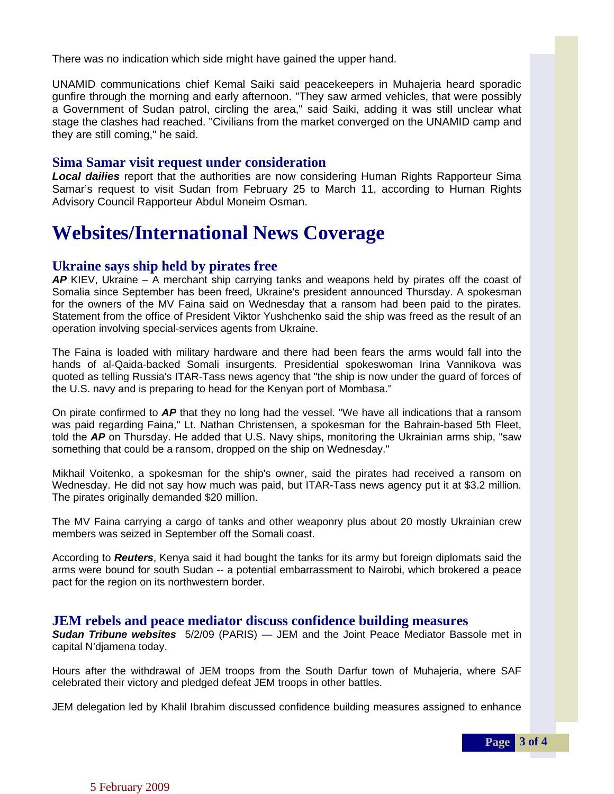There was no indication which side might have gained the upper hand.

UNAMID communications chief Kemal Saiki said peacekeepers in Muhajeria heard sporadic gunfire through the morning and early afternoon. "They saw armed vehicles, that were possibly a Government of Sudan patrol, circling the area," said Saiki, adding it was still unclear what stage the clashes had reached. "Civilians from the market converged on the UNAMID camp and they are still coming," he said.

#### **Sima Samar visit request under consideration**

*Local dailies* report that the authorities are now considering Human Rights Rapporteur Sima Samar's request to visit Sudan from February 25 to March 11, according to Human Rights Advisory Council Rapporteur Abdul Moneim Osman.

## **Websites/International News Coverage**

#### **Ukraine says ship held by pirates free**

*AP* KIEV, Ukraine – A merchant ship carrying tanks and weapons held by pirates off the coast of Somalia since September has been freed, Ukraine's president announced Thursday. A spokesman for the owners of the MV Faina said on Wednesday that a ransom had been paid to the pirates. Statement from the office of President Viktor Yushchenko said the ship was freed as the result of an operation involving special-services agents from Ukraine.

The Faina is loaded with military hardware and there had been fears the arms would fall into the hands of al-Qaida-backed Somali insurgents. Presidential spokeswoman Irina Vannikova was quoted as telling Russia's ITAR-Tass news agency that "the ship is now under the guard of forces of the U.S. navy and is preparing to head for the Kenyan port of Mombasa."

On pirate confirmed to *AP* that they no long had the vessel. "We have all indications that a ransom was paid regarding Faina," Lt. Nathan Christensen, a spokesman for the Bahrain-based 5th Fleet, told the *AP* on Thursday. He added that U.S. Navy ships, monitoring the Ukrainian arms ship, "saw something that could be a ransom, dropped on the ship on Wednesday."

Mikhail Voitenko, a spokesman for the ship's owner, said the pirates had received a ransom on Wednesday. He did not say how much was paid, but ITAR-Tass news agency put it at \$3.2 million. The pirates originally demanded \$20 million.

The MV Faina carrying a cargo of tanks and other weaponry plus about 20 mostly Ukrainian crew members was seized in September off the Somali coast.

According to *Reuters*, Kenya said it had bought the tanks for its army but foreign diplomats said the arms were bound for south Sudan -- a potential embarrassment to Nairobi, which brokered a peace pact for the region on its northwestern border.

#### **JEM rebels and peace mediator discuss confidence building measures**

*Sudan Tribune websites* 5/2/09 (PARIS) — JEM and the Joint Peace Mediator Bassole met in capital N'djamena today.

Hours after the withdrawal of JEM troops from the South Darfur town of Muhajeria, where SAF celebrated their victory and pledged defeat JEM troops in other battles.

JEM delegation led by Khalil Ibrahim discussed confidence building measures assigned to enhance